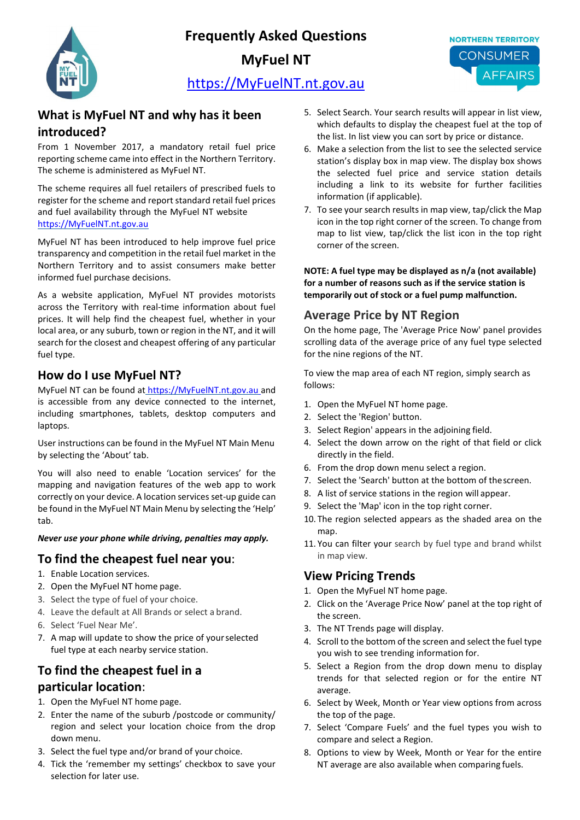**Frequently Asked Questions** 



**MyFuel NT**



# [https://MyFuelNT.nt.gov.au](https://myfuelnt.nt.gov.au/)

### **What is MyFuel NT and why has it been introduced?**

From 1 November 2017, a mandatory retail fuel price reporting scheme came into effect in the Northern Territory. The scheme is administered as MyFuel NT.

The scheme requires all fuel retailers of prescribed fuels to register for the scheme and report standard retail fuel prices and fuel availability through the MyFuel NT website [https://MyFuelNT.nt.gov.au](https://myfuelnt.nt.gov.au/)

MyFuel NT has been introduced to help improve fuel price transparency and competition in the retail fuel market in the Northern Territory and to assist consumers make better informed fuel purchase decisions.

As a website application, MyFuel NT provides motorists across the Territory with real-time information about fuel prices. It will help find the cheapest fuel, whether in your local area, or any suburb, town or region in the NT, and it will search for the closest and cheapest offering of any particular fuel type.

### **How do I use MyFuel NT?**

MyFuel NT can be found at [https://MyFuelNT.nt.gov.au](https://myfuelnt.nt.gov.au/) and is accessible from any device connected to the internet, including smartphones, tablets, desktop computers and laptops.

User instructions can be found in the MyFuel NT Main Menu by selecting the 'About' tab.

You will also need to enable 'Location services' for the mapping and navigation features of the web app to work correctly on your device. A location services set-up guide can be found in the MyFuel NT Main Menu by selecting the 'Help' tab.

#### *Never use your phone while driving, penalties may apply.*

### **To find the cheapest fuel near you**:

- 1. Enable Location services.
- 2. Open the MyFuel NT home page.
- 3. Select the type of fuel of your choice.
- 4. Leave the default at All Brands or select a brand.
- 6. Select 'Fuel Near Me'.
- 7. A map will update to show the price of yourselected fuel type at each nearby service station.

# **To find the cheapest fuel in a particular location**:

- 1. Open the MyFuel NT home page.
- 2. Enter the name of the suburb /postcode or community/ region and select your location choice from the drop down menu.
- 3. Select the fuel type and/or brand of your choice.
- 4. Tick the 'remember my settings' checkbox to save your selection for later use.
- 5. Select Search. Your search results will appear in list view, which defaults to display the cheapest fuel at the top of the list. In list view you can sort by price or distance.
- 6. Make a selection from the list to see the selected service station's display box in map view. The display box shows the selected fuel price and service station details including a link to its website for further facilities information (if applicable).
- 7. To see your search results in map view, tap/click the Map icon in the top right corner of the screen. To change from map to list view, tap/click the list icon in the top right corner of the screen.

**NOTE: A fuel type may be displayed as n/a (not available) for a number of reasons such as if the service station is temporarily out of stock or a fuel pump malfunction.**

### **Average Price by NT Region**

On the home page, The 'Average Price Now' panel provides scrolling data of the average price of any fuel type selected for the nine regions of the NT.

To view the map area of each NT region, simply search as follows:

- 1. Open the MyFuel NT home page.
- 2. Select the 'Region' button.
- 3. Select Region' appears in the adjoining field.
- 4. Select the down arrow on the right of that field or click directly in the field.
- 6. From the drop down menu select a region.
- 7. Select the 'Search' button at the bottom of thescreen.
- 8. A list of service stations in the region will appear.
- 9. Select the 'Map' icon in the top right corner.
- 10. The region selected appears as the shaded area on the map.
- 11. You can filter your search by fuel type and brand whilst in map view.

## **View Pricing Trends**

- 1. Open the MyFuel NT home page.
- 2. Click on the 'Average Price Now' panel at the top right of the screen.
- 3. The NT Trends page will display.
- 4. Scroll to the bottom of the screen and select the fuel type you wish to see trending information for.
- 5. Select a Region from the drop down menu to display trends for that selected region or for the entire NT average.
- 6. Select by Week, Month or Year view options from across the top of the page.
- 7. Select 'Compare Fuels' and the fuel types you wish to compare and select a Region.
- 8. Options to view by Week, Month or Year for the entire NT average are also available when comparing fuels.